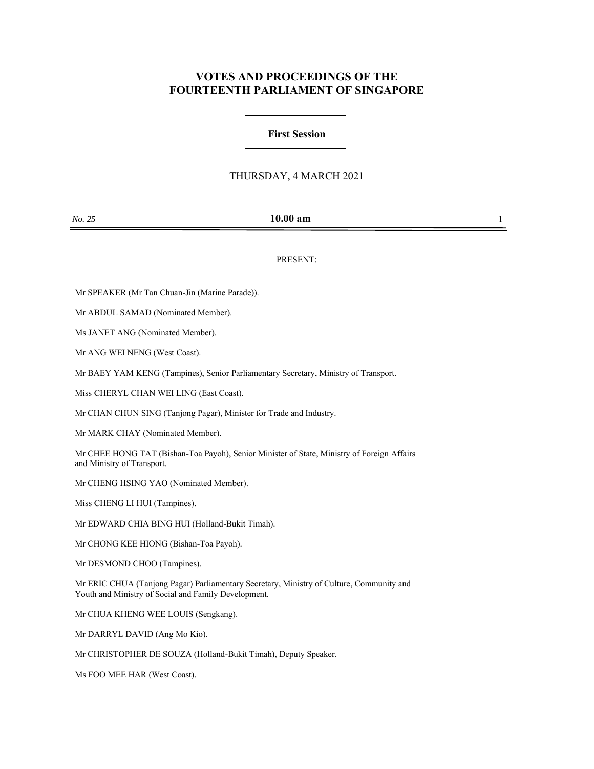# **VOTES AND PROCEEDINGS OF THE FOURTEENTH PARLIAMENT OF SINGAPORE**

### **First Session**

## THURSDAY, 4 MARCH 2021

| No. 25 | $10.00$ am |  |
|--------|------------|--|
|        |            |  |

PRESENT:

Mr SPEAKER (Mr Tan Chuan-Jin (Marine Parade)).

Mr ABDUL SAMAD (Nominated Member).

Ms JANET ANG (Nominated Member).

Mr ANG WEI NENG (West Coast).

Mr BAEY YAM KENG (Tampines), Senior Parliamentary Secretary, Ministry of Transport.

Miss CHERYL CHAN WEI LING (East Coast).

Mr CHAN CHUN SING (Tanjong Pagar), Minister for Trade and Industry.

Mr MARK CHAY (Nominated Member).

Mr CHEE HONG TAT (Bishan-Toa Payoh), Senior Minister of State, Ministry of Foreign Affairs and Ministry of Transport.

Mr CHENG HSING YAO (Nominated Member).

Miss CHENG LI HUI (Tampines).

Mr EDWARD CHIA BING HUI (Holland-Bukit Timah).

Mr CHONG KEE HIONG (Bishan-Toa Payoh).

Mr DESMOND CHOO (Tampines).

Mr ERIC CHUA (Tanjong Pagar) Parliamentary Secretary, Ministry of Culture, Community and Youth and Ministry of Social and Family Development.

Mr CHUA KHENG WEE LOUIS (Sengkang).

Mr DARRYL DAVID (Ang Mo Kio).

Mr CHRISTOPHER DE SOUZA (Holland-Bukit Timah), Deputy Speaker.

Ms FOO MEE HAR (West Coast).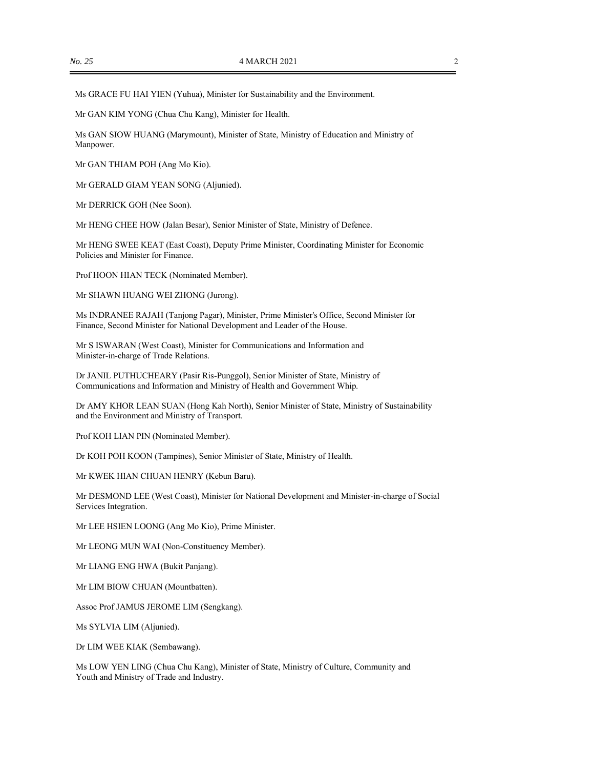Ms GRACE FU HAI YIEN (Yuhua), Minister for Sustainability and the Environment.

Mr GAN KIM YONG (Chua Chu Kang), Minister for Health.

Ms GAN SIOW HUANG (Marymount), Minister of State, Ministry of Education and Ministry of Manpower.

Mr GAN THIAM POH (Ang Mo Kio).

Mr GERALD GIAM YEAN SONG (Aljunied).

Mr DERRICK GOH (Nee Soon).

Mr HENG CHEE HOW (Jalan Besar), Senior Minister of State, Ministry of Defence.

Mr HENG SWEE KEAT (East Coast), Deputy Prime Minister, Coordinating Minister for Economic Policies and Minister for Finance.

Prof HOON HIAN TECK (Nominated Member).

Mr SHAWN HUANG WEI ZHONG (Jurong).

Ms INDRANEE RAJAH (Tanjong Pagar), Minister, Prime Minister's Office, Second Minister for Finance, Second Minister for National Development and Leader of the House.

Mr S ISWARAN (West Coast), Minister for Communications and Information and Minister-in-charge of Trade Relations.

Dr JANIL PUTHUCHEARY (Pasir Ris-Punggol), Senior Minister of State, Ministry of Communications and Information and Ministry of Health and Government Whip.

Dr AMY KHOR LEAN SUAN (Hong Kah North), Senior Minister of State, Ministry of Sustainability and the Environment and Ministry of Transport.

Prof KOH LIAN PIN (Nominated Member).

Dr KOH POH KOON (Tampines), Senior Minister of State, Ministry of Health.

Mr KWEK HIAN CHUAN HENRY (Kebun Baru).

Mr DESMOND LEE (West Coast), Minister for National Development and Minister-in-charge of Social Services Integration.

Mr LEE HSIEN LOONG (Ang Mo Kio), Prime Minister.

Mr LEONG MUN WAI (Non-Constituency Member).

Mr LIANG ENG HWA (Bukit Panjang).

Mr LIM BIOW CHUAN (Mountbatten).

Assoc Prof JAMUS JEROME LIM (Sengkang).

Ms SYLVIA LIM (Aljunied).

Dr LIM WEE KIAK (Sembawang).

Ms LOW YEN LING (Chua Chu Kang), Minister of State, Ministry of Culture, Community and Youth and Ministry of Trade and Industry.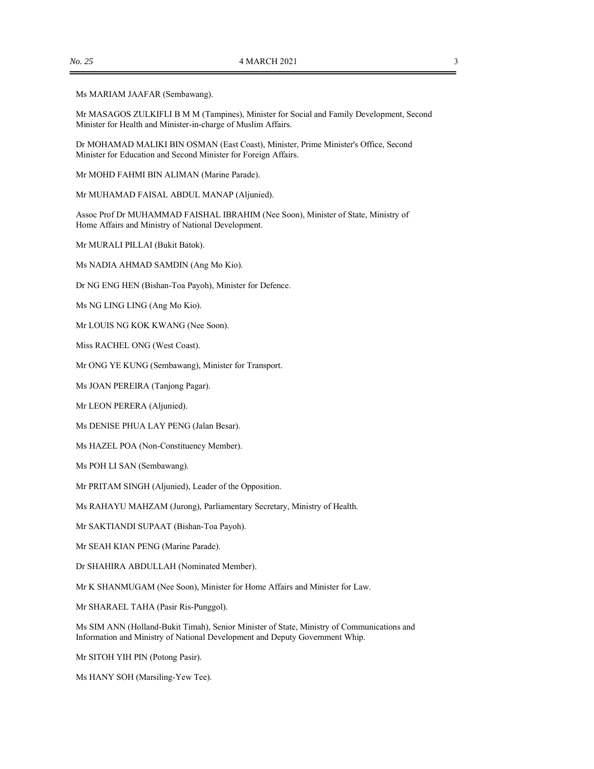### Ms MARIAM JAAFAR (Sembawang).

Mr MASAGOS ZULKIFLI B M M (Tampines), Minister for Social and Family Development, Second Minister for Health and Minister-in-charge of Muslim Affairs.

Dr MOHAMAD MALIKI BIN OSMAN (East Coast), Minister, Prime Minister's Office, Second Minister for Education and Second Minister for Foreign Affairs.

Mr MOHD FAHMI BIN ALIMAN (Marine Parade).

Mr MUHAMAD FAISAL ABDUL MANAP (Aljunied).

Assoc Prof Dr MUHAMMAD FAISHAL IBRAHIM (Nee Soon), Minister of State, Ministry of Home Affairs and Ministry of National Development.

Mr MURALI PILLAI (Bukit Batok).

Ms NADIA AHMAD SAMDIN (Ang Mo Kio).

Dr NG ENG HEN (Bishan-Toa Payoh), Minister for Defence.

Ms NG LING LING (Ang Mo Kio).

Mr LOUIS NG KOK KWANG (Nee Soon).

Miss RACHEL ONG (West Coast).

Mr ONG YE KUNG (Sembawang), Minister for Transport.

Ms JOAN PEREIRA (Tanjong Pagar).

Mr LEON PERERA (Aljunied).

Ms DENISE PHUA LAY PENG (Jalan Besar).

Ms HAZEL POA (Non-Constituency Member).

Ms POH LI SAN (Sembawang).

Mr PRITAM SINGH (Aljunied), Leader of the Opposition.

Ms RAHAYU MAHZAM (Jurong), Parliamentary Secretary, Ministry of Health.

Mr SAKTIANDI SUPAAT (Bishan-Toa Payoh).

Mr SEAH KIAN PENG (Marine Parade).

Dr SHAHIRA ABDULLAH (Nominated Member).

Mr K SHANMUGAM (Nee Soon), Minister for Home Affairs and Minister for Law.

Mr SHARAEL TAHA (Pasir Ris-Punggol).

Ms SIM ANN (Holland-Bukit Timah), Senior Minister of State, Ministry of Communications and Information and Ministry of National Development and Deputy Government Whip.

Mr SITOH YIH PIN (Potong Pasir).

Ms HANY SOH (Marsiling-Yew Tee).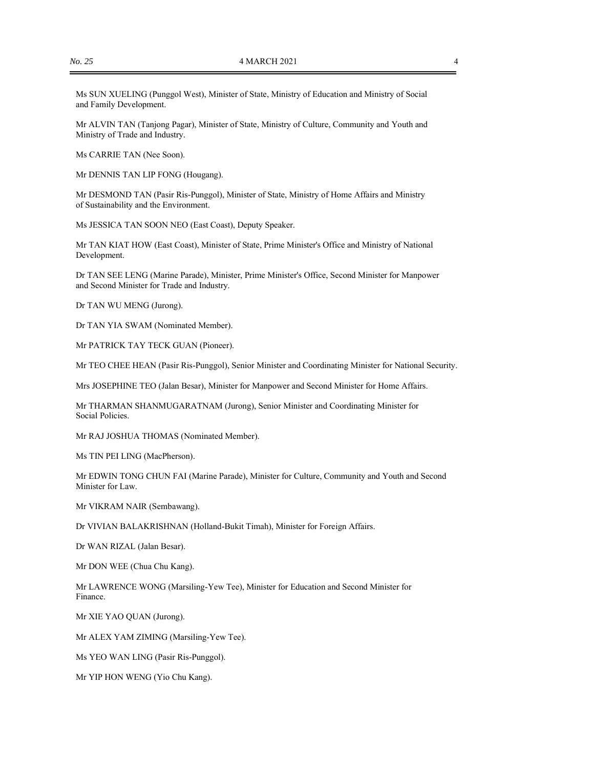Ms SUN XUELING (Punggol West), Minister of State, Ministry of Education and Ministry of Social and Family Development.

Mr ALVIN TAN (Tanjong Pagar), Minister of State, Ministry of Culture, Community and Youth and Ministry of Trade and Industry.

Ms CARRIE TAN (Nee Soon).

Mr DENNIS TAN LIP FONG (Hougang).

Mr DESMOND TAN (Pasir Ris-Punggol), Minister of State, Ministry of Home Affairs and Ministry of Sustainability and the Environment.

Ms JESSICA TAN SOON NEO (East Coast), Deputy Speaker.

Mr TAN KIAT HOW (East Coast), Minister of State, Prime Minister's Office and Ministry of National Development.

Dr TAN SEE LENG (Marine Parade), Minister, Prime Minister's Office, Second Minister for Manpower and Second Minister for Trade and Industry.

Dr TAN WU MENG (Jurong).

Dr TAN YIA SWAM (Nominated Member).

Mr PATRICK TAY TECK GUAN (Pioneer).

Mr TEO CHEE HEAN (Pasir Ris-Punggol), Senior Minister and Coordinating Minister for National Security.

Mrs JOSEPHINE TEO (Jalan Besar), Minister for Manpower and Second Minister for Home Affairs.

Mr THARMAN SHANMUGARATNAM (Jurong), Senior Minister and Coordinating Minister for Social Policies.

Mr RAJ JOSHUA THOMAS (Nominated Member).

Ms TIN PEI LING (MacPherson).

Mr EDWIN TONG CHUN FAI (Marine Parade), Minister for Culture, Community and Youth and Second Minister for Law.

Mr VIKRAM NAIR (Sembawang).

Dr VIVIAN BALAKRISHNAN (Holland-Bukit Timah), Minister for Foreign Affairs.

Dr WAN RIZAL (Jalan Besar).

Mr DON WEE (Chua Chu Kang).

Mr LAWRENCE WONG (Marsiling-Yew Tee), Minister for Education and Second Minister for Finance.

Mr XIE YAO QUAN (Jurong).

Mr ALEX YAM ZIMING (Marsiling-Yew Tee).

Ms YEO WAN LING (Pasir Ris-Punggol).

Mr YIP HON WENG (Yio Chu Kang).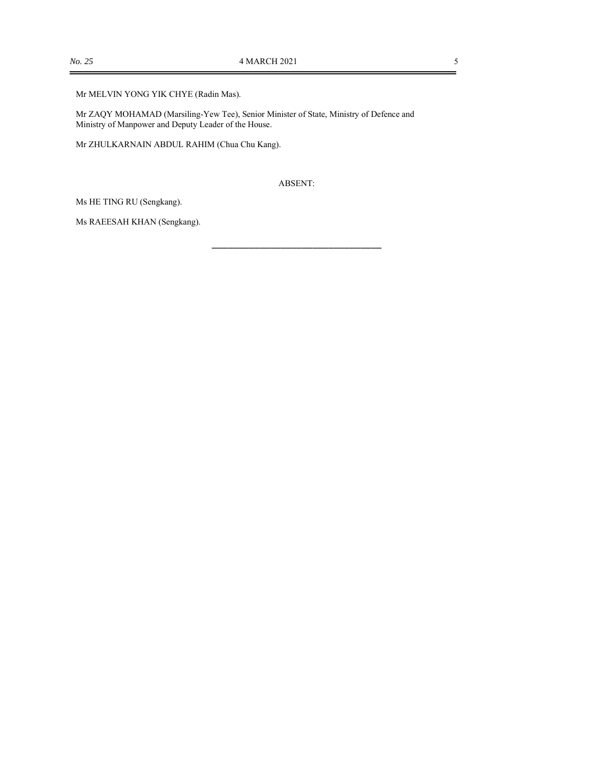### Mr MELVIN YONG YIK CHYE (Radin Mas).

Mr ZAQY MOHAMAD (Marsiling-Yew Tee), Senior Minister of State, Ministry of Defence and Ministry of Manpower and Deputy Leader of the House.

Mr ZHULKARNAIN ABDUL RAHIM (Chua Chu Kang).

ABSENT:

\_\_\_\_\_\_\_\_\_\_\_\_\_\_\_\_\_\_\_\_\_\_\_\_\_\_\_\_\_\_\_\_

Ms HE TING RU (Sengkang).

Ms RAEESAH KHAN (Sengkang).